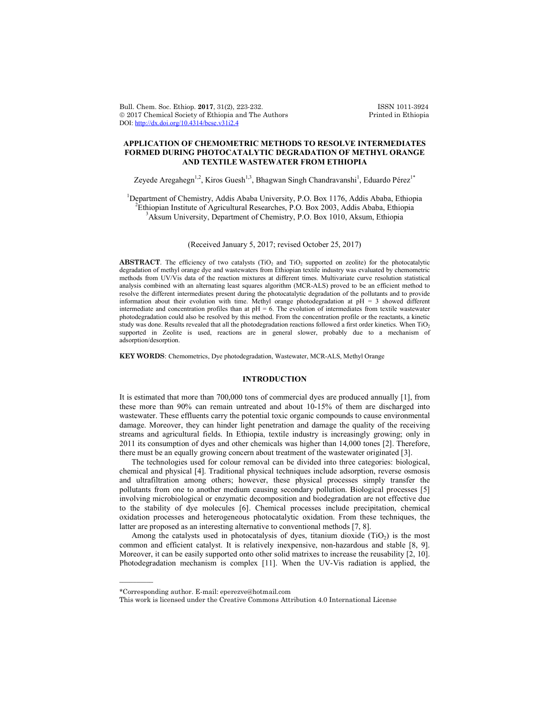Bull. Chem. Soc. Ethiop. **2017**, 31(2), 223-232.<br>
© 2017 Chemical Society of Ethiopia and The Authors Printed in Ethiopia  $© 2017 Chemical Society of Ethiopia and The Authors$ DOI: http://dx.doi.org/10.4314/bcse.v31i2.4

# **APPLICATION OF CHEMOMETRIC METHODS TO RESOLVE INTERMEDIATES FORMED DURING PHOTOCATALYTIC DEGRADATION OF METHYL ORANGE AND TEXTILE WASTEWATER FROM ETHIOPIA**

Zeyede Aregahegn<sup>1,2</sup>, Kiros Guesh<sup>1,3</sup>, Bhagwan Singh Chandravanshi<sup>1</sup>, Eduardo Pérez<sup>1\*</sup>

<sup>1</sup>Department of Chemistry, Addis Ababa University, P.O. Box 1176, Addis Ababa, Ethiopia <sup>2</sup>  ${}^{2}$ Ethiopian Institute of Agricultural Researches, P.O. Box 2003, Addis Ababa, Ethiopia <sup>3</sup>Aksum University, Department of Chemistry, P.O. Box 1010, Aksum, Ethiopia

### (Received January 5, 2017; revised October 25, 2017)

**ABSTRACT**. The efficiency of two catalysts (TiO<sub>2</sub> and TiO<sub>2</sub> supported on zeolite) for the photocatalytic degradation of methyl orange dye and wastewaters from Ethiopian textile industry was evaluated by chemometric methods from UV/Vis data of the reaction mixtures at different times. Multivariate curve resolution statistical analysis combined with an alternating least squares algorithm (MCR-ALS) proved to be an efficient method to resolve the different intermediates present during the photocatalytic degradation of the pollutants and to provide information about their evolution with time. Methyl orange photodegradation at  $p\hat{H} = 3$  showed different intermediate and concentration profiles than at pH = 6. The evolution of intermediates from textile wastewater photodegradation could also be resolved by this method. From the concentration profile or the reactants, a kinetic study was done. Results revealed that all the photodegradation reactions followed a first order kinetics. When TiO2 supported in Zeolite is used, reactions are in general slower, probably due to a mechanism of adsorption/desorption.

**KEY WORDS**: Chemometrics, Dye photodegradation, Wastewater, MCR-ALS, Methyl Orange

## **INTRODUCTION**

It is estimated that more than 700,000 tons of commercial dyes are produced annually [1], from these more than 90% can remain untreated and about 10-15% of them are discharged into wastewater. These effluents carry the potential toxic organic compounds to cause environmental damage. Moreover, they can hinder light penetration and damage the quality of the receiving streams and agricultural fields. In Ethiopia, textile industry is increasingly growing; only in 2011 its consumption of dyes and other chemicals was higher than 14,000 tones [2]. Therefore, there must be an equally growing concern about treatment of the wastewater originated [3].

The technologies used for colour removal can be divided into three categories: biological, chemical and physical [4]. Traditional physical techniques include adsorption, reverse osmosis and ultrafiltration among others; however, these physical processes simply transfer the pollutants from one to another medium causing secondary pollution. Biological processes [5] involving microbiological or enzymatic decomposition and biodegradation are not effective due to the stability of dye molecules [6]. Chemical processes include precipitation, chemical oxidation processes and heterogeneous photocatalytic oxidation. From these techniques, the latter are proposed as an interesting alternative to conventional methods [7, 8].

Among the catalysts used in photocatalysis of dyes, titanium dioxide  $(TiO<sub>2</sub>)$  is the most common and efficient catalyst. It is relatively inexpensive, non-hazardous and stable [8, 9]. Moreover, it can be easily supported onto other solid matrixes to increase the reusability [2, 10]. Photodegradation mechanism is complex [11]. When the UV-Vis radiation is applied, the

 $\overline{\phantom{a}}$ 

<sup>\*</sup>Corresponding author. E-mail: eperezve@hotmail.com

This work is licensed under the Creative Commons Attribution 4.0 International License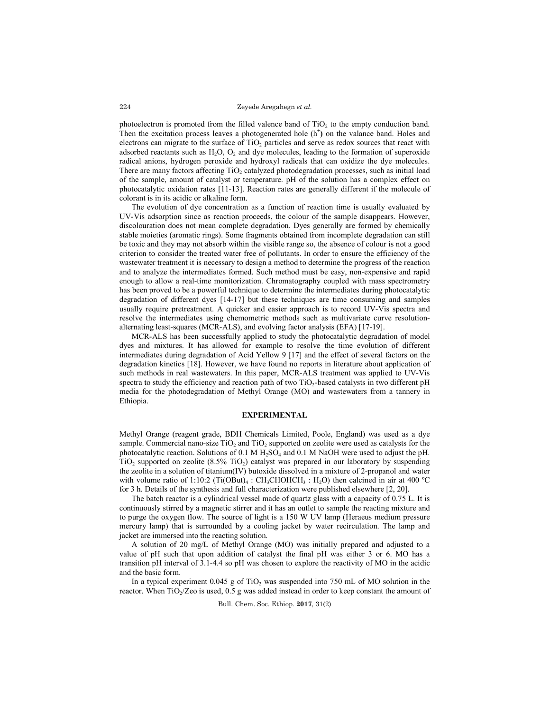photoelectron is promoted from the filled valence band of  $TiO<sub>2</sub>$  to the empty conduction band. Then the excitation process leaves a photogenerated hole  $(h<sup>+</sup>)$  on the valance band. Holes and electrons can migrate to the surface of  $TiO<sub>2</sub>$  particles and serve as redox sources that react with adsorbed reactants such as  $H_2O$ ,  $O_2$  and dye molecules, leading to the formation of superoxide radical anions, hydrogen peroxide and hydroxyl radicals that can oxidize the dye molecules. There are many factors affecting  $TiO<sub>2</sub>$  catalyzed photodegradation processes, such as initial load of the sample, amount of catalyst or temperature. pH of the solution has a complex effect on photocatalytic oxidation rates [11-13]. Reaction rates are generally different if the molecule of colorant is in its acidic or alkaline form.

The evolution of dye concentration as a function of reaction time is usually evaluated by UV-Vis adsorption since as reaction proceeds, the colour of the sample disappears. However, discolouration does not mean complete degradation. Dyes generally are formed by chemically stable moieties (aromatic rings). Some fragments obtained from incomplete degradation can still be toxic and they may not absorb within the visible range so, the absence of colour is not a good criterion to consider the treated water free of pollutants. In order to ensure the efficiency of the wastewater treatment it is necessary to design a method to determine the progress of the reaction and to analyze the intermediates formed. Such method must be easy, non-expensive and rapid enough to allow a real-time monitorization. Chromatography coupled with mass spectrometry has been proved to be a powerful technique to determine the intermediates during photocatalytic degradation of different dyes [14-17] but these techniques are time consuming and samples usually require pretreatment. A quicker and easier approach is to record UV-Vis spectra and resolve the intermediates using chemometric methods such as multivariate curve resolutionalternating least-squares (MCR-ALS), and evolving factor analysis (EFA) [17-19].

MCR-ALS has been successfully applied to study the photocatalytic degradation of model dyes and mixtures. It has allowed for example to resolve the time evolution of different intermediates during degradation of Acid Yellow 9 [17] and the effect of several factors on the degradation kinetics [18]. However, we have found no reports in literature about application of such methods in real wastewaters. In this paper, MCR-ALS treatment was applied to UV-Vis spectra to study the efficiency and reaction path of two TiO<sub>2</sub>-based catalysts in two different pH media for the photodegradation of Methyl Orange (MO) and wastewaters from a tannery in Ethiopia.

# **EXPERIMENTAL**

Methyl Orange (reagent grade, BDH Chemicals Limited, Poole, England) was used as a dye sample. Commercial nano-size  $TiO<sub>2</sub>$  and  $TiO<sub>2</sub>$  supported on zeolite were used as catalysts for the photocatalytic reaction. Solutions of 0.1 M H<sub>2</sub>SO<sub>4</sub> and 0.1 M NaOH were used to adjust the pH.  $TiO<sub>2</sub>$  supported on zeolite (8.5%  $TiO<sub>2</sub>$ ) catalyst was prepared in our laboratory by suspending the zeolite in a solution of titanium(IV) butoxide dissolved in a mixture of 2-propanol and water with volume ratio of 1:10:2 (Ti(OBut)<sub>4</sub> : CH<sub>3</sub>CHOHCH<sub>3</sub> : H<sub>2</sub>O) then calcined in air at 400 °C for 3 h. Details of the synthesis and full characterization were published elsewhere [2, 20].

The batch reactor is a cylindrical vessel made of quartz glass with a capacity of 0.75 L. It is continuously stirred by a magnetic stirrer and it has an outlet to sample the reacting mixture and to purge the oxygen flow. The source of light is a 150 W UV lamp (Heraeus medium pressure mercury lamp) that is surrounded by a cooling jacket by water recirculation. The lamp and jacket are immersed into the reacting solution.

A solution of 20 mg/L of Methyl Orange (MO) was initially prepared and adjusted to a value of pH such that upon addition of catalyst the final pH was either 3 or 6. MO has a transition pH interval of 3.1-4.4 so pH was chosen to explore the reactivity of MO in the acidic and the basic form.

In a typical experiment  $0.045$  g of TiO<sub>2</sub> was suspended into 750 mL of MO solution in the reactor. When  $TiO<sub>2</sub>/Z$ eo is used, 0.5 g was added instead in order to keep constant the amount of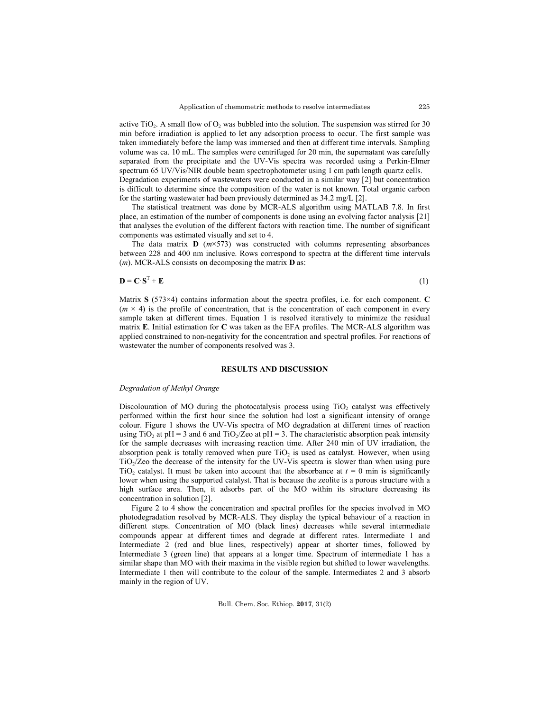active TiO<sub>2</sub>. A small flow of  $O_2$  was bubbled into the solution. The suspension was stirred for 30 min before irradiation is applied to let any adsorption process to occur. The first sample was taken immediately before the lamp was immersed and then at different time intervals. Sampling volume was ca. 10 mL. The samples were centrifuged for 20 min, the supernatant was carefully separated from the precipitate and the UV-Vis spectra was recorded using a Perkin-Elmer spectrum 65 UV/Vis/NIR double beam spectrophotometer using 1 cm path length quartz cells. Degradation experiments of wastewaters were conducted in a similar way [2] but concentration

is difficult to determine since the composition of the water is not known. Total organic carbon for the starting wastewater had been previously determined as 34.2 mg/L [2].

The statistical treatment was done by MCR-ALS algorithm using MATLAB 7.8. In first place, an estimation of the number of components is done using an evolving factor analysis [21] that analyses the evolution of the different factors with reaction time. The number of significant components was estimated visually and set to 4.

The data matrix  $\mathbf{D}$  ( $m \times 573$ ) was constructed with columns representing absorbances between 228 and 400 nm inclusive. Rows correspond to spectra at the different time intervals (*m*). MCR-ALS consists on decomposing the matrix **D** as:

$$
\mathbf{D} = \mathbf{C} \cdot \mathbf{S}^{\mathrm{T}} + \mathbf{E} \tag{1}
$$

Matrix **S** (573×4) contains information about the spectra profiles, i.e. for each component. **C**  $(m \times 4)$  is the profile of concentration, that is the concentration of each component in every sample taken at different times. Equation 1 is resolved iteratively to minimize the residual matrix **E**. Initial estimation for **C** was taken as the EFA profiles. The MCR-ALS algorithm was applied constrained to non-negativity for the concentration and spectral profiles. For reactions of wastewater the number of components resolved was 3.

# **RESULTS AND DISCUSSION**

#### *Degradation of Methyl Orange*

Discolouration of MO during the photocatalysis process using  $TiO<sub>2</sub>$  catalyst was effectively performed within the first hour since the solution had lost a significant intensity of orange colour. Figure 1 shows the UV-Vis spectra of MO degradation at different times of reaction using TiO<sub>2</sub> at pH = 3 and 6 and TiO<sub>2</sub>/Zeo at pH = 3. The characteristic absorption peak intensity for the sample decreases with increasing reaction time. After 240 min of UV irradiation, the absorption peak is totally removed when pure  $TiO<sub>2</sub>$  is used as catalyst. However, when using  $TiO<sub>2</sub>/Z$  the decrease of the intensity for the UV-Vis spectra is slower than when using pure TiO<sub>2</sub> catalyst. It must be taken into account that the absorbance at  $t = 0$  min is significantly lower when using the supported catalyst. That is because the zeolite is a porous structure with a high surface area. Then, it adsorbs part of the MO within its structure decreasing its concentration in solution [2].

Figure 2 to 4 show the concentration and spectral profiles for the species involved in MO photodegradation resolved by MCR-ALS. They display the typical behaviour of a reaction in different steps. Concentration of MO (black lines) decreases while several intermediate compounds appear at different times and degrade at different rates. Intermediate 1 and Intermediate 2 (red and blue lines, respectively) appear at shorter times, followed by Intermediate 3 (green line) that appears at a longer time. Spectrum of intermediate 1 has a similar shape than MO with their maxima in the visible region but shifted to lower wavelengths. Intermediate 1 then will contribute to the colour of the sample. Intermediates 2 and 3 absorb mainly in the region of UV.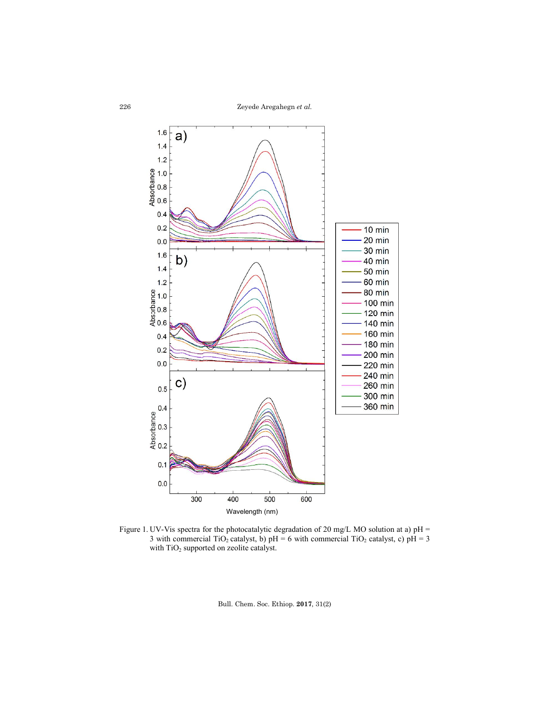

Figure 1. UV-Vis spectra for the photocatalytic degradation of 20 mg/L MO solution at a) pH = 3 with commercial TiO<sub>2</sub> catalyst, b) pH = 6 with commercial TiO<sub>2</sub> catalyst, c)  $p\hat{H} = 3$ with TiO<sub>2</sub> supported on zeolite catalyst.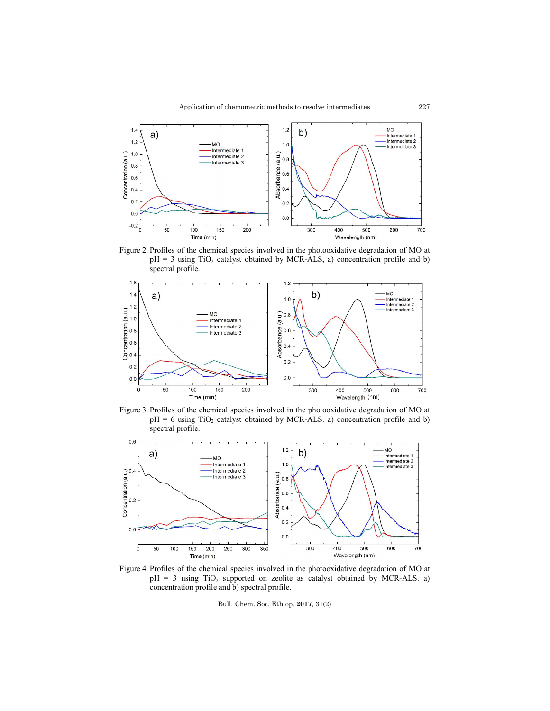

Figure 2. Profiles of the chemical species involved in the photooxidative degradation of MO at  $pH = 3$  using TiO<sub>2</sub> catalyst obtained by MCR-ALS, a) concentration profile and b) spectral profile.



Figure 3. Profiles of the chemical species involved in the photooxidative degradation of MO at  $pH = 6$  using TiO<sub>2</sub> catalyst obtained by MCR-ALS. a) concentration profile and b) spectral profile.



Figure 4. Profiles of the chemical species involved in the photooxidative degradation of MO at  $pH = 3$  using TiO<sub>2</sub> supported on zeolite as catalyst obtained by MCR-ALS. a) concentration profile and b) spectral profile.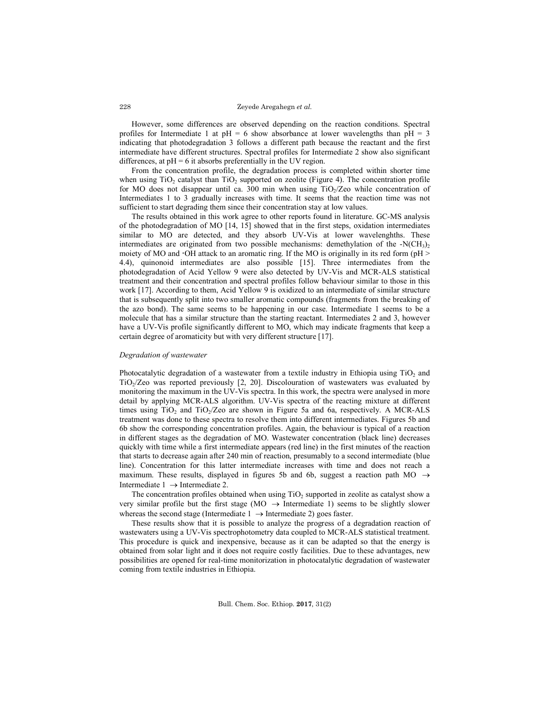However, some differences are observed depending on the reaction conditions. Spectral profiles for Intermediate 1 at  $pH = 6$  show absorbance at lower wavelengths than  $pH = 3$ indicating that photodegradation 3 follows a different path because the reactant and the first intermediate have different structures. Spectral profiles for Intermediate 2 show also significant differences, at  $pH = 6$  it absorbs preferentially in the UV region.

From the concentration profile, the degradation process is completed within shorter time when using  $TiO<sub>2</sub>$  catalyst than  $TiO<sub>2</sub>$  supported on zeolite (Figure 4). The concentration profile for MO does not disappear until ca. 300 min when using  $TiO<sub>2</sub>/Ze<sub>0</sub>$  while concentration of Intermediates 1 to 3 gradually increases with time. It seems that the reaction time was not sufficient to start degrading them since their concentration stay at low values.

The results obtained in this work agree to other reports found in literature. GC-MS analysis of the photodegradation of MO [14, 15] showed that in the first steps, oxidation intermediates similar to MO are detected, and they absorb UV-Vis at lower wavelenghths. These intermediates are originated from two possible mechanisms: demethylation of the -N( $CH<sub>3</sub>$ ) moiety of MO and  $\cdot$ OH attack to an aromatic ring. If the MO is originally in its red form (pH  $>$ 4.4), quinonoid intermediates are also possible [15]. Three intermediates from the photodegradation of Acid Yellow 9 were also detected by UV-Vis and MCR-ALS statistical treatment and their concentration and spectral profiles follow behaviour similar to those in this work [17]. According to them, Acid Yellow 9 is oxidized to an intermediate of similar structure that is subsequently split into two smaller aromatic compounds (fragments from the breaking of the azo bond). The same seems to be happening in our case. Intermediate 1 seems to be a molecule that has a similar structure than the starting reactant. Intermediates 2 and 3, however have a UV-Vis profile significantly different to MO, which may indicate fragments that keep a certain degree of aromaticity but with very different structure [17].

### *Degradation of wastewater*

Photocatalytic degradation of a wastewater from a textile industry in Ethiopia using  $TiO<sub>2</sub>$  and TiO<sub>2</sub>/Zeo was reported previously  $[2, 20]$ . Discolouration of wastewaters was evaluated by monitoring the maximum in the UV-Vis spectra. In this work, the spectra were analysed in more detail by applying MCR-ALS algorithm. UV-Vis spectra of the reacting mixture at different times using  $TiO<sub>2</sub>$  and  $TiO<sub>2</sub>/Z$ eo are shown in Figure 5a and 6a, respectively. A MCR-ALS treatment was done to these spectra to resolve them into different intermediates. Figures 5b and 6b show the corresponding concentration profiles. Again, the behaviour is typical of a reaction in different stages as the degradation of MO. Wastewater concentration (black line) decreases quickly with time while a first intermediate appears (red line) in the first minutes of the reaction that starts to decrease again after 240 min of reaction, presumably to a second intermediate (blue line). Concentration for this latter intermediate increases with time and does not reach a maximum. These results, displayed in figures 5b and 6b, suggest a reaction path MO  $\rightarrow$ Intermediate  $1 \rightarrow$  Intermediate 2.

The concentration profiles obtained when using  $TiO<sub>2</sub>$  supported in zeolite as catalyst show a very similar profile but the first stage (MO  $\rightarrow$  Intermediate 1) seems to be slightly slower whereas the second stage (Intermediate  $1 \rightarrow$  Intermediate 2) goes faster.

These results show that it is possible to analyze the progress of a degradation reaction of wastewaters using a UV-Vis spectrophotometry data coupled to MCR-ALS statistical treatment. This procedure is quick and inexpensive, because as it can be adapted so that the energy is obtained from solar light and it does not require costly facilities. Due to these advantages, new possibilities are opened for real-time monitorization in photocatalytic degradation of wastewater coming from textile industries in Ethiopia.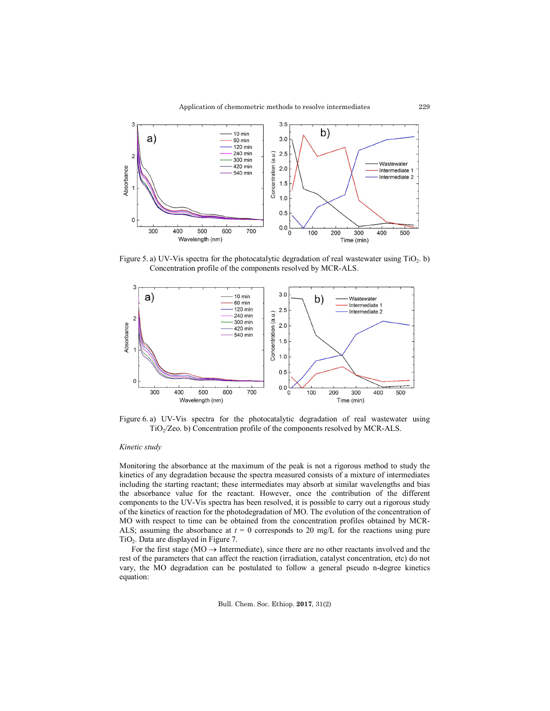

Figure 5. a) UV-Vis spectra for the photocatalytic degradation of real wastewater using  $TiO<sub>2</sub>$ . b) Concentration profile of the components resolved by MCR-ALS.



Figure 6. a) UV-Vis spectra for the photocatalytic degradation of real wastewater using TiO2/Zeo. b) Concentration profile of the components resolved by MCR-ALS.

### *Kinetic study*

Monitoring the absorbance at the maximum of the peak is not a rigorous method to study the kinetics of any degradation because the spectra measured consists of a mixture of intermediates including the starting reactant; these intermediates may absorb at similar wavelengths and bias the absorbance value for the reactant. However, once the contribution of the different components to the UV-Vis spectra has been resolved, it is possible to carry out a rigorous study of the kinetics of reaction for the photodegradation of MO. The evolution of the concentration of MO with respect to time can be obtained from the concentration profiles obtained by MCR-ALS; assuming the absorbance at  $t = 0$  corresponds to 20 mg/L for the reactions using pure  $TiO<sub>2</sub>$ . Data are displayed in Figure 7.

For the first stage ( $MO \rightarrow Intermediate$ ), since there are no other reactants involved and the rest of the parameters that can affect the reaction (irradiation, catalyst concentration, etc) do not vary, the MO degradation can be postulated to follow a general pseudo n-degree kinetics equation: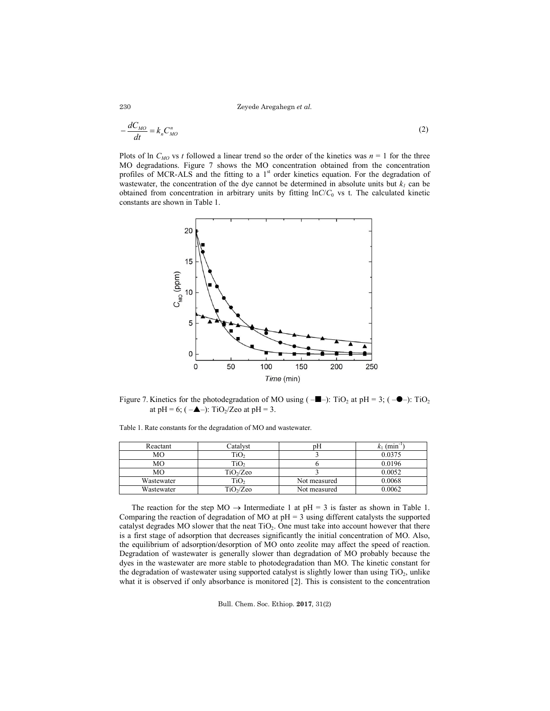Zeyede Aregahegn *et al.*

$$
-\frac{dC_{MO}}{dt} = k_n C_{MO}^n \tag{2}
$$

Plots of ln  $C_{MO}$  vs *t* followed a linear trend so the order of the kinetics was  $n = 1$  for the three MO degradations. Figure 7 shows the MO concentration obtained from the concentration profiles of MCR-ALS and the fitting to a  $1<sup>st</sup>$  order kinetics equation. For the degradation of wastewater, the concentration of the dye cannot be determined in absolute units but  $k_l$  can be obtained from concentration in arbitrary units by fitting  $lnC/C<sub>0</sub>$  vs t. The calculated kinetic constants are shown in Table 1.



Figure 7. Kinetics for the photodegradation of MO using  $(-\blacksquare -)$ : TiO<sub>2</sub> at pH = 3;  $(-\lozenge -)$ : TiO<sub>2</sub> at pH = 6; ( $-\triangle$ –): TiO<sub>2</sub>/Zeo at pH = 3.

Table 1. Rate constants for the degradation of MO and wastewater.

| Reactant   | Catalvst              | pΗ           | (min   |
|------------|-----------------------|--------------|--------|
| MО         | TiO,                  |              | 0.0375 |
| MО         | TiO <sub>2</sub>      |              | 0.0196 |
| MО         | $TiO_2/Z$ eo          |              | 0.0052 |
| Wastewater | TiO <sub>2</sub>      | Not measured | 0.0068 |
| Wastewater | TiO <sub>2</sub> /Zeo | Not measured | 0.0062 |

The reaction for the step  $MO \rightarrow$  Intermediate 1 at pH = 3 is faster as shown in Table 1. Comparing the reaction of degradation of MO at  $pH = 3$  using different catalysts the supported catalyst degrades MO slower that the neat  $TiO<sub>2</sub>$ . One must take into account however that there is a first stage of adsorption that decreases significantly the initial concentration of MO. Also, the equilibrium of adsorption/desorption of MO onto zeolite may affect the speed of reaction. Degradation of wastewater is generally slower than degradation of MO probably because the dyes in the wastewater are more stable to photodegradation than MO. The kinetic constant for the degradation of wastewater using supported catalyst is slightly lower than using  $TiO<sub>2</sub>$ , unlike what it is observed if only absorbance is monitored [2]. This is consistent to the concentration

Bull. Chem. Soc. Ethiop. **2017**, 31(2)

230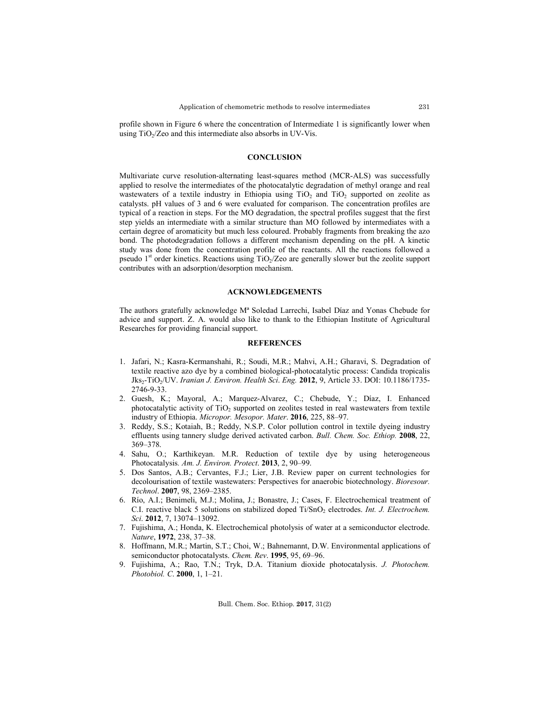profile shown in Figure 6 where the concentration of Intermediate 1 is significantly lower when using  $TiO<sub>2</sub>/Z$ eo and this intermediate also absorbs in UV-Vis.

## **CONCLUSION**

Multivariate curve resolution-alternating least-squares method (MCR-ALS) was successfully applied to resolve the intermediates of the photocatalytic degradation of methyl orange and real wastewaters of a textile industry in Ethiopia using  $TiO<sub>2</sub>$  and  $TiO<sub>2</sub>$  supported on zeolite as catalysts. pH values of 3 and 6 were evaluated for comparison. The concentration profiles are typical of a reaction in steps. For the MO degradation, the spectral profiles suggest that the first step yields an intermediate with a similar structure than MO followed by intermediates with a certain degree of aromaticity but much less coloured. Probably fragments from breaking the azo bond. The photodegradation follows a different mechanism depending on the pH. A kinetic study was done from the concentration profile of the reactants. All the reactions followed a pseudo  $1<sup>st</sup>$  order kinetics. Reactions using TiO<sub>2</sub>/Zeo are generally slower but the zeolite support contributes with an adsorption/desorption mechanism.

# **ACKNOWLEDGEMENTS**

The authors gratefully acknowledge Mª Soledad Larrechi, Isabel Díaz and Yonas Chebude for advice and support. Z. A. would also like to thank to the Ethiopian Institute of Agricultural Researches for providing financial support.

#### **REFERENCES**

- 1. Jafari, N.; Kasra-Kermanshahi, R.; Soudi, M.R.; Mahvi, A.H.; Gharavi, S. Degradation of textile reactive azo dye by a combined biological-photocatalytic process: Candida tropicalis Jks2-TiO2/UV. *Iranian J. Environ. Health Sci*. *Eng.* **2012**, 9, Article 33. DOI: 10.1186/1735- 2746-9-33.
- 2. Guesh, K.; Mayoral, A.; Marquez-Alvarez, C.; Chebude, Y.; Díaz, I. Enhanced photocatalytic activity of  $TiO<sub>2</sub>$  supported on zeolites tested in real wastewaters from textile industry of Ethiopia. *Micropor. Mesopor. Mater*. **2016**, 225, 88–97.
- 3. Reddy, S.S.; Kotaiah, B.; Reddy, N.S.P. Color pollution control in textile dyeing industry effluents using tannery sludge derived activated carbon. *Bull. Chem. Soc. Ethiop.* **2008**, 22, 369–378.
- 4. Sahu, O.; Karthikeyan. M.R. Reduction of textile dye by using heterogeneous Photocatalysis*. Am. J. Environ. Protect*. **2013**, 2, 90–99.
- 5. Dos Santos, A.B.; Cervantes, F.J.; Lier, J.B. Review paper on current technologies for decolourisation of textile wastewaters: Perspectives for anaerobic biotechnology. *Bioresour. Technol*. **2007**, 98, 2369–2385.
- 6. Río, A.I.; Benimeli, M.J.; Molina, J.; Bonastre, J.; Cases, F. Electrochemical treatment of C.I. reactive black 5 solutions on stabilized doped Ti/SnO<sub>2</sub> electrodes. *Int. J. Electrochem. Sci*. **2012**, 7, 13074–13092.
- 7. Fujishima, A.; Honda, K. Electrochemical photolysis of water at a semiconductor electrode. *Nature*, **1972**, 238, 37–38.
- 8. Hoffmann, M.R.; Martin, S.T.; Choi, W.; Bahnemannt, D.W. Environmental applications of semiconductor photocatalysts. *Chem. Rev*. **1995**, 95, 69–96.
- 9. Fujishima, A.; Rao, T.N.; Tryk, D.A. Titanium dioxide photocatalysis. *J. Photochem. Photobiol. C*. **2000**, 1, 1–21.